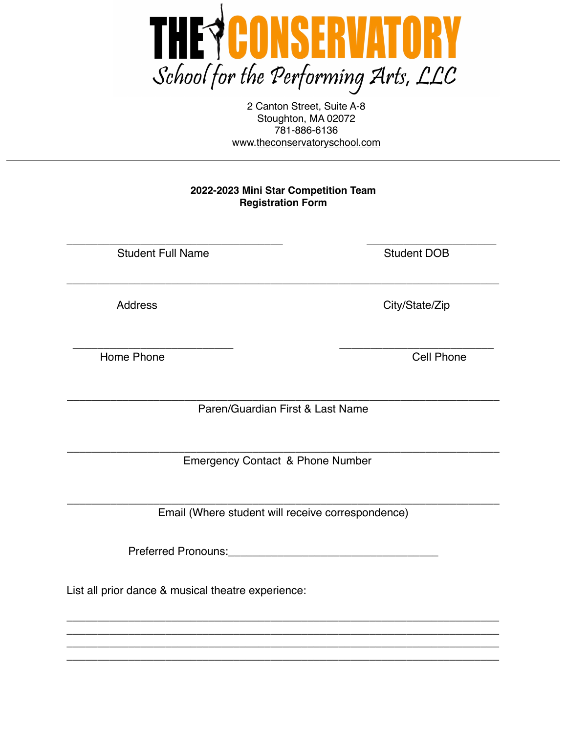

2 Canton Street, Suite A-8 Stoughton, MA 02072 781-886-6136 www[.theconservatoryschool.com](http://theconservatoryschool.com)

### **2022-2023 Mini Star Competition Team Registration Form**

\_\_\_\_\_\_\_\_\_\_\_\_\_\_\_\_\_\_\_\_\_\_\_\_\_\_\_\_\_\_\_\_\_\_\_\_\_\_\_\_\_\_\_\_\_\_\_\_\_\_\_\_\_\_\_\_\_\_\_\_\_\_\_\_\_\_\_\_\_\_

\_\_\_\_\_\_\_\_\_\_\_\_\_\_\_\_\_\_\_\_\_\_\_\_\_\_\_\_\_\_\_\_\_\_\_ \_\_\_\_\_\_\_\_\_\_\_\_\_\_\_\_\_\_\_\_\_ Student Full Name Student DOB

Home Phone **Cell** Phone

Address City/State/Zip

\_\_\_\_\_\_\_\_\_\_\_\_\_\_\_\_\_\_\_\_\_\_\_\_\_\_ \_\_\_\_\_\_\_\_\_\_\_\_\_\_\_\_\_\_\_\_\_\_\_\_\_

\_\_\_\_\_\_\_\_\_\_\_\_\_\_\_\_\_\_\_\_\_\_\_\_\_\_\_\_\_\_\_\_\_\_\_\_\_\_\_\_\_\_\_\_\_\_\_\_\_\_\_\_\_\_\_\_\_\_\_\_\_\_\_\_\_\_\_\_\_\_ Paren/Guardian First & Last Name

\_\_\_\_\_\_\_\_\_\_\_\_\_\_\_\_\_\_\_\_\_\_\_\_\_\_\_\_\_\_\_\_\_\_\_\_\_\_\_\_\_\_\_\_\_\_\_\_\_\_\_\_\_\_\_\_\_\_\_\_\_\_\_\_\_\_\_\_\_\_ Emergency Contact & Phone Number

\_\_\_\_\_\_\_\_\_\_\_\_\_\_\_\_\_\_\_\_\_\_\_\_\_\_\_\_\_\_\_\_\_\_\_\_\_\_\_\_\_\_\_\_\_\_\_\_\_\_\_\_\_\_\_\_\_\_\_\_\_\_\_\_\_\_\_\_\_\_ Email (Where student will receive correspondence)

Preferred Pronouns: **Example 2018** 

\_\_\_\_\_\_\_\_\_\_\_\_\_\_\_\_\_\_\_\_\_\_\_\_\_\_\_\_\_\_\_\_\_\_\_\_\_\_\_\_\_\_\_\_\_\_\_\_\_\_\_\_\_\_\_\_\_\_\_\_\_\_\_\_\_\_\_\_\_\_ \_\_\_\_\_\_\_\_\_\_\_\_\_\_\_\_\_\_\_\_\_\_\_\_\_\_\_\_\_\_\_\_\_\_\_\_\_\_\_\_\_\_\_\_\_\_\_\_\_\_\_\_\_\_\_\_\_\_\_\_\_\_\_\_\_\_\_\_\_\_ \_\_\_\_\_\_\_\_\_\_\_\_\_\_\_\_\_\_\_\_\_\_\_\_\_\_\_\_\_\_\_\_\_\_\_\_\_\_\_\_\_\_\_\_\_\_\_\_\_\_\_\_\_\_\_\_\_\_\_\_\_\_\_\_\_\_\_\_\_\_ \_\_\_\_\_\_\_\_\_\_\_\_\_\_\_\_\_\_\_\_\_\_\_\_\_\_\_\_\_\_\_\_\_\_\_\_\_\_\_\_\_\_\_\_\_\_\_\_\_\_\_\_\_\_\_\_\_\_\_\_\_\_\_\_\_\_\_\_\_\_

List all prior dance & musical theatre experience: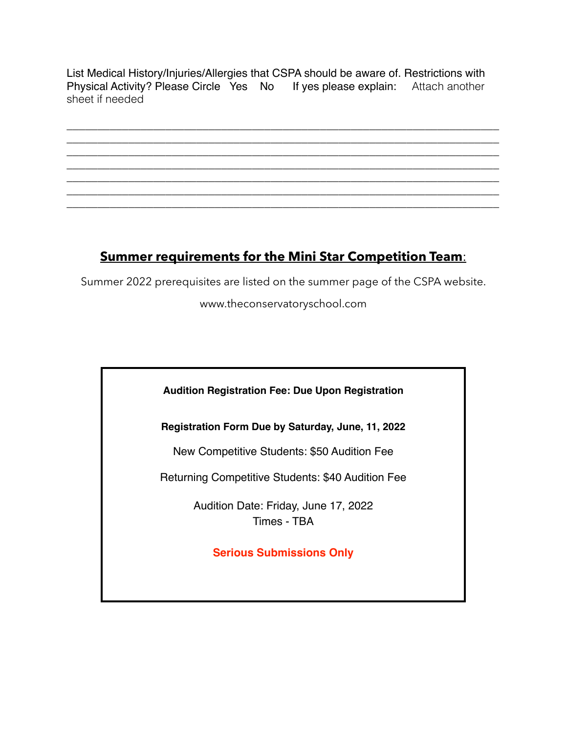List Medical History/Injuries/Allergies that CSPA should be aware of. Restrictions with Physical Activity? Please Circle Yes No If yes please explain: Attach another sheet if needed

\_\_\_\_\_\_\_\_\_\_\_\_\_\_\_\_\_\_\_\_\_\_\_\_\_\_\_\_\_\_\_\_\_\_\_\_\_\_\_\_\_\_\_\_\_\_\_\_\_\_\_\_\_\_\_\_\_\_\_\_\_\_\_\_\_\_\_\_\_\_ \_\_\_\_\_\_\_\_\_\_\_\_\_\_\_\_\_\_\_\_\_\_\_\_\_\_\_\_\_\_\_\_\_\_\_\_\_\_\_\_\_\_\_\_\_\_\_\_\_\_\_\_\_\_\_\_\_\_\_\_\_\_\_\_\_\_\_\_\_\_ \_\_\_\_\_\_\_\_\_\_\_\_\_\_\_\_\_\_\_\_\_\_\_\_\_\_\_\_\_\_\_\_\_\_\_\_\_\_\_\_\_\_\_\_\_\_\_\_\_\_\_\_\_\_\_\_\_\_\_\_\_\_\_\_\_\_\_\_\_\_ \_\_\_\_\_\_\_\_\_\_\_\_\_\_\_\_\_\_\_\_\_\_\_\_\_\_\_\_\_\_\_\_\_\_\_\_\_\_\_\_\_\_\_\_\_\_\_\_\_\_\_\_\_\_\_\_\_\_\_\_\_\_\_\_\_\_\_\_\_\_ \_\_\_\_\_\_\_\_\_\_\_\_\_\_\_\_\_\_\_\_\_\_\_\_\_\_\_\_\_\_\_\_\_\_\_\_\_\_\_\_\_\_\_\_\_\_\_\_\_\_\_\_\_\_\_\_\_\_\_\_\_\_\_\_\_\_\_\_\_\_ \_\_\_\_\_\_\_\_\_\_\_\_\_\_\_\_\_\_\_\_\_\_\_\_\_\_\_\_\_\_\_\_\_\_\_\_\_\_\_\_\_\_\_\_\_\_\_\_\_\_\_\_\_\_\_\_\_\_\_\_\_\_\_\_\_\_\_\_\_\_

# \_\_\_\_\_\_\_\_\_\_\_\_\_\_\_\_\_\_\_\_\_\_\_\_\_\_\_\_\_\_\_\_\_\_\_\_\_\_\_\_\_\_\_\_\_\_\_\_\_\_\_\_\_\_\_\_\_\_\_\_\_\_\_\_\_\_\_\_\_\_

## **Summer requirements for the Mini Star Competition Team**:

Summer 2022 prerequisites are listed on the summer page of the CSPA website.

www.theconservatoryschool.com



**Registration Form Due by Saturday, June, 11, 2022**

New Competitive Students: \$50 Audition Fee

Returning Competitive Students: \$40 Audition Fee

Audition Date: Friday, June 17, 2022 Times - TBA

**Serious Submissions Only**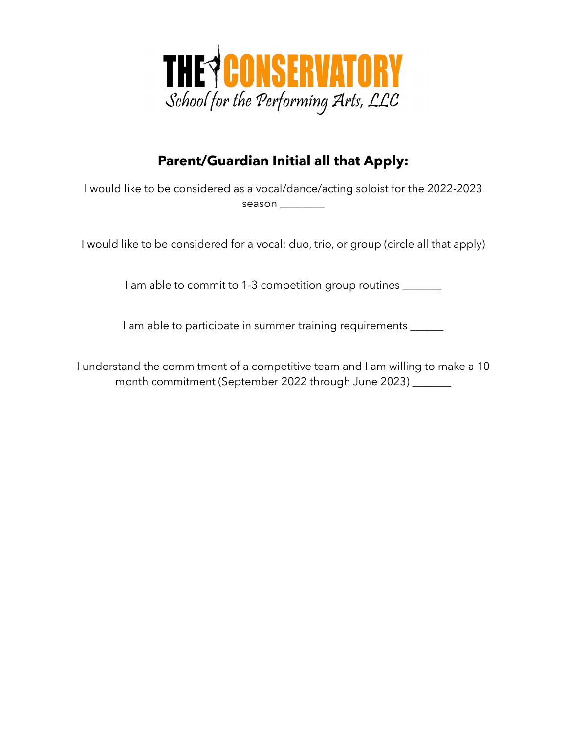

## **Parent/Guardian Initial all that Apply:**

I would like to be considered as a vocal/dance/acting soloist for the 2022-2023 season \_\_\_\_\_\_\_\_

I would like to be considered for a vocal: duo, trio, or group (circle all that apply)

I am able to commit to 1-3 competition group routines \_\_\_\_\_\_

I am able to participate in summer training requirements \_\_\_\_\_\_

I understand the commitment of a competitive team and I am willing to make a 10 month commitment (September 2022 through June 2023) \_\_\_\_\_\_\_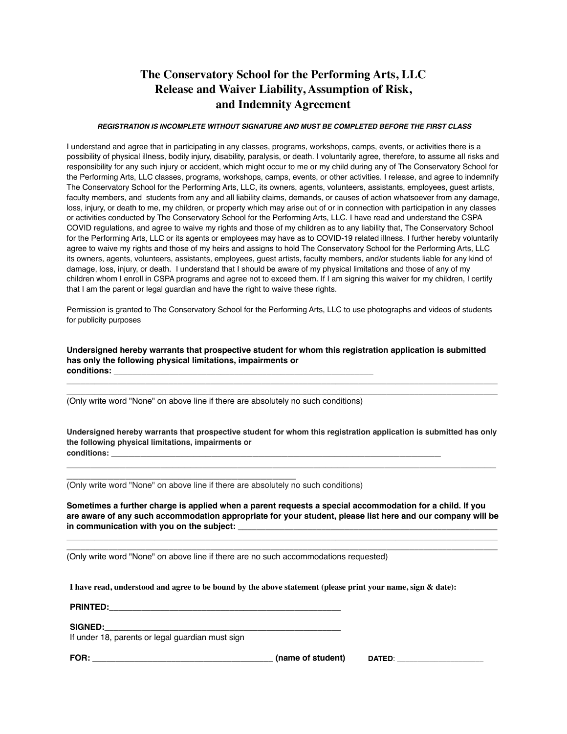## **The Conservatory School for the Performing Arts, LLC Release and Waiver Liability, Assumption of Risk, and Indemnity Agreement**

#### *REGISTRATION IS INCOMPLETE WITHOUT SIGNATURE AND MUST BE COMPLETED BEFORE THE FIRST CLASS*

I understand and agree that in participating in any classes, programs, workshops, camps, events, or activities there is a possibility of physical illness, bodily injury, disability, paralysis, or death. I voluntarily agree, therefore, to assume all risks and responsibility for any such injury or accident, which might occur to me or my child during any of The Conservatory School for the Performing Arts, LLC classes, programs, workshops, camps, events, or other activities. I release, and agree to indemnify The Conservatory School for the Performing Arts, LLC, its owners, agents, volunteers, assistants, employees, guest artists, faculty members, and students from any and all liability claims, demands, or causes of action whatsoever from any damage, loss, injury, or death to me, my children, or property which may arise out of or in connection with participation in any classes or activities conducted by The Conservatory School for the Performing Arts, LLC. I have read and understand the CSPA COVID regulations, and agree to waive my rights and those of my children as to any liability that, The Conservatory School for the Performing Arts, LLC or its agents or employees may have as to COVID-19 related illness. I further hereby voluntarily agree to waive my rights and those of my heirs and assigns to hold The Conservatory School for the Performing Arts, LLC its owners, agents, volunteers, assistants, employees, guest artists, faculty members, and/or students liable for any kind of damage, loss, injury, or death. I understand that I should be aware of my physical limitations and those of any of my children whom I enroll in CSPA programs and agree not to exceed them. If I am signing this waiver for my children, I certify that I am the parent or legal guardian and have the right to waive these rights.

Permission is granted to The Conservatory School for the Performing Arts, LLC to use photographs and videos of students for publicity purposes

**Undersigned hereby warrants that prospective student for whom this registration application is submitted has only the following physical limitations, impairments or conditions:** \_\_\_\_\_\_\_\_\_\_\_\_\_\_\_\_\_\_\_\_\_\_\_\_\_\_\_\_\_\_\_\_\_\_\_\_\_\_\_\_\_\_\_\_\_\_\_\_\_\_\_\_\_\_\_\_

 $\overline{\phantom{a}}$  , and the set of the set of the set of the set of the set of the set of the set of the set of the set of the set of the set of the set of the set of the set of the set of the set of the set of the set of the s  $\overline{\phantom{a}}$  , and the set of the set of the set of the set of the set of the set of the set of the set of the set of the set of the set of the set of the set of the set of the set of the set of the set of the set of the s

(Only write word "None" on above line if there are absolutely no such conditions)

**Undersigned hereby warrants that prospective student for whom this registration application is submitted has only the following physical limitations, impairments or conditions:** \_\_\_\_\_\_\_\_\_\_\_\_\_\_\_\_\_\_\_\_\_\_\_\_\_\_\_\_\_\_\_\_\_\_\_\_\_\_\_\_\_\_\_\_\_\_\_\_\_\_\_\_\_\_\_\_

 $\_$  , and the state of the state of the state of the state of the state of the state of the state of the state of the state of the state of the state of the state of the state of the state of the state of the state of the

(Only write word "None" on above line if there are absolutely no such conditions)

\_\_\_\_\_\_\_\_\_\_\_\_\_\_\_\_\_\_\_\_\_\_\_\_\_\_\_\_\_\_\_\_\_\_\_\_\_\_\_

**Sometimes a further charge is applied when a parent requests a special accommodation for a child. If you are aware of any such accommodation appropriate for your student, please list here and our company will be**  in communication with you on the subject:

 $\overline{\phantom{a}}$  , and the set of the set of the set of the set of the set of the set of the set of the set of the set of the set of the set of the set of the set of the set of the set of the set of the set of the set of the s  $\overline{\phantom{a}}$  , and the set of the set of the set of the set of the set of the set of the set of the set of the set of the set of the set of the set of the set of the set of the set of the set of the set of the set of the s

(Only write word "None" on above line if there are no such accommodations requested)

**I have read, understood and agree to be bound by the above statement (please print your name, sign & date):**

| <b>PRINTED:</b> |  |  |
|-----------------|--|--|
|                 |  |  |

#### $SIGNED:$

If under 18, parents or legal guardian must sign

**FOR: \_\_\_\_\_\_\_\_\_\_\_\_\_\_\_\_\_\_\_\_\_\_\_\_\_\_\_\_\_\_\_\_\_\_\_\_\_\_\_ (name of student) DATED**: \_\_\_\_\_\_\_\_\_\_\_\_\_\_\_\_\_\_\_\_\_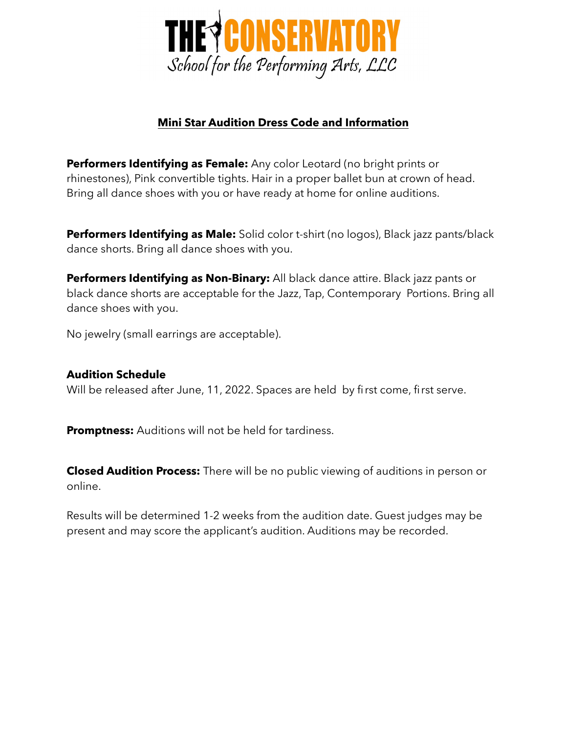

## **Mini Star Audition Dress Code and Information**

**Performers Identifying as Female:** Any color Leotard (no bright prints or rhinestones), Pink convertible tights. Hair in a proper ballet bun at crown of head. Bring all dance shoes with you or have ready at home for online auditions.

**Performers Identifying as Male:** Solid color t-shirt (no logos), Black jazz pants/black dance shorts. Bring all dance shoes with you.

**Performers Identifying as Non-Binary:** All black dance attire. Black jazz pants or black dance shorts are acceptable for the Jazz, Tap, Contemporary Portions. Bring all dance shoes with you.

No jewelry (small earrings are acceptable).

## **Audition Schedule**

Will be released after June, 11, 2022. Spaces are held by first come, first serve.

**Promptness:** Auditions will not be held for tardiness.

**Closed Audition Process:** There will be no public viewing of auditions in person or online.

Results will be determined 1-2 weeks from the audition date. Guest judges may be present and may score the applicant's audition. Auditions may be recorded.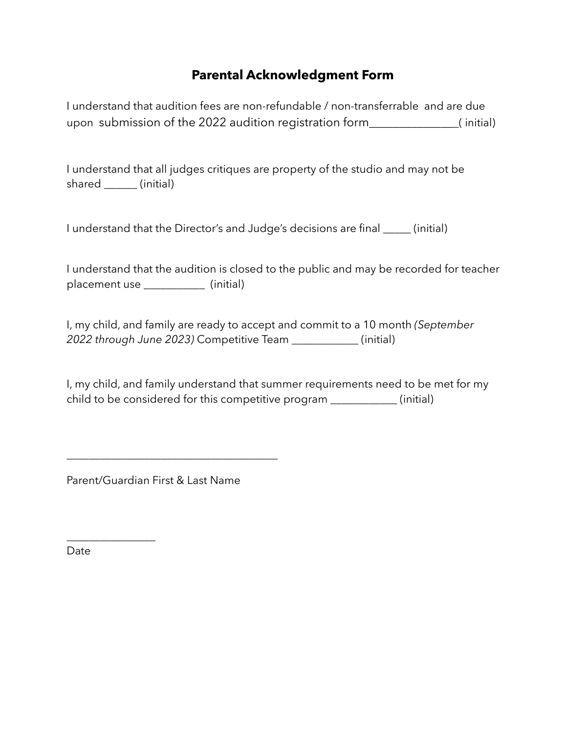## **Parental Acknowledgment Form**

I understand that audition fees are non-refundable / non-transferrable and are due upon submission of the 2022 audition registration form\_\_\_\_\_\_\_\_\_\_\_\_\_\_\_( initial)

I understand that all judges critiques are property of the studio and may not be shared \_\_\_\_\_\_ (initial)

I understand that the Director's and Judge's decisions are final \_\_\_\_\_ (initial)

I understand that the audition is closed to the public and may be recorded for teacher placement use \_\_\_\_\_\_\_\_\_\_\_\_\_ (initial)

I, my child, and family are ready to accept and commit to a 10 month *(September 2022 through June 2023)* Competitive Team \_\_\_\_\_\_\_\_\_\_\_\_ (initial)

I, my child, and family understand that summer requirements need to be met for my child to be considered for this competitive program \_\_\_\_\_\_\_\_\_\_\_\_ (initial)

Parent/Guardian First & Last Name

\_\_\_\_\_\_\_\_\_\_\_\_\_\_\_\_\_\_\_\_\_\_\_\_\_\_\_\_\_\_\_\_\_\_\_\_\_\_

Date

 $\overline{\phantom{a}}$  , where  $\overline{\phantom{a}}$